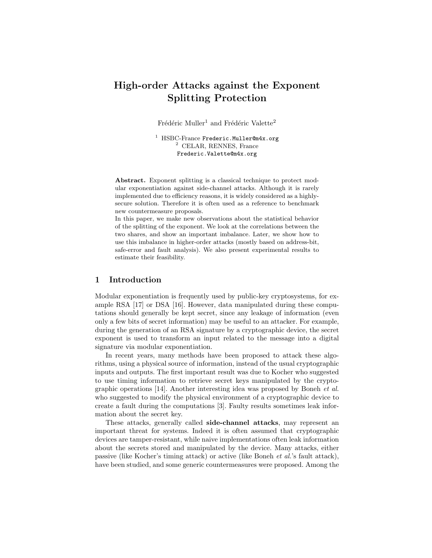# High-order Attacks against the Exponent Splitting Protection

Frédéric Muller<sup>1</sup> and Frédéric Valette<sup>2</sup>

 $1$  HSBC-France Frederic.Muller@m4x.org <sup>2</sup> CELAR, RENNES, France Frederic.Valette@m4x.org

Abstract. Exponent splitting is a classical technique to protect modular exponentiation against side-channel attacks. Although it is rarely implemented due to efficiency reasons, it is widely considered as a highlysecure solution. Therefore it is often used as a reference to benchmark new countermeasure proposals.

In this paper, we make new observations about the statistical behavior of the splitting of the exponent. We look at the correlations between the two shares, and show an important imbalance. Later, we show how to use this imbalance in higher-order attacks (mostly based on address-bit, safe-error and fault analysis). We also present experimental results to estimate their feasibility.

## 1 Introduction

Modular exponentiation is frequently used by public-key cryptosystems, for example RSA [17] or DSA [16]. However, data manipulated during these computations should generally be kept secret, since any leakage of information (even only a few bits of secret information) may be useful to an attacker. For example, during the generation of an RSA signature by a cryptographic device, the secret exponent is used to transform an input related to the message into a digital signature via modular exponentiation.

In recent years, many methods have been proposed to attack these algorithms, using a physical source of information, instead of the usual cryptographic inputs and outputs. The first important result was due to Kocher who suggested to use timing information to retrieve secret keys manipulated by the cryptographic operations [14]. Another interesting idea was proposed by Boneh et al. who suggested to modify the physical environment of a cryptographic device to create a fault during the computations [3]. Faulty results sometimes leak information about the secret key.

These attacks, generally called side-channel attacks, may represent an important threat for systems. Indeed it is often assumed that cryptographic devices are tamper-resistant, while naive implementations often leak information about the secrets stored and manipulated by the device. Many attacks, either passive (like Kocher's timing attack) or active (like Boneh et al.'s fault attack), have been studied, and some generic countermeasures were proposed. Among the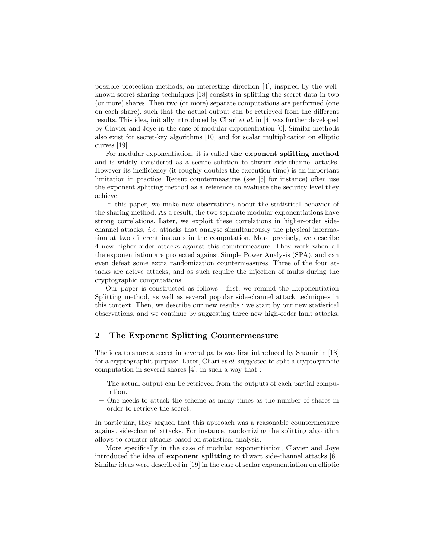possible protection methods, an interesting direction [4], inspired by the wellknown secret sharing techniques [18] consists in splitting the secret data in two (or more) shares. Then two (or more) separate computations are performed (one on each share), such that the actual output can be retrieved from the different results. This idea, initially introduced by Chari et al. in [4] was further developed by Clavier and Joye in the case of modular exponentiation [6]. Similar methods also exist for secret-key algorithms [10] and for scalar multiplication on elliptic curves [19].

For modular exponentiation, it is called the exponent splitting method and is widely considered as a secure solution to thwart side-channel attacks. However its inefficiency (it roughly doubles the execution time) is an important limitation in practice. Recent countermeasures (see [5] for instance) often use the exponent splitting method as a reference to evaluate the security level they achieve.

In this paper, we make new observations about the statistical behavior of the sharing method. As a result, the two separate modular exponentiations have strong correlations. Later, we exploit these correlations in higher-order sidechannel attacks, i.e. attacks that analyse simultaneously the physical information at two different instants in the computation. More precisely, we describe 4 new higher-order attacks against this countermeasure. They work when all the exponentiation are protected against Simple Power Analysis (SPA), and can even defeat some extra randomization countermeasures. Three of the four attacks are active attacks, and as such require the injection of faults during the cryptographic computations.

Our paper is constructed as follows : first, we remind the Exponentiation Splitting method, as well as several popular side-channel attack techniques in this context. Then, we describe our new results : we start by our new statistical observations, and we continue by suggesting three new high-order fault attacks.

# 2 The Exponent Splitting Countermeasure

The idea to share a secret in several parts was first introduced by Shamir in [18] for a cryptographic purpose. Later, Chari et al. suggested to split a cryptographic computation in several shares [4], in such a way that :

- The actual output can be retrieved from the outputs of each partial computation.
- One needs to attack the scheme as many times as the number of shares in order to retrieve the secret.

In particular, they argued that this approach was a reasonable countermeasure against side-channel attacks. For instance, randomizing the splitting algorithm allows to counter attacks based on statistical analysis.

More specifically in the case of modular exponentiation, Clavier and Joye introduced the idea of exponent splitting to thwart side-channel attacks [6]. Similar ideas were described in [19] in the case of scalar exponentiation on elliptic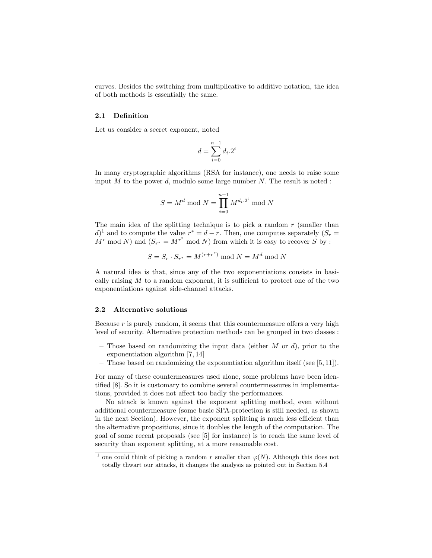curves. Besides the switching from multiplicative to additive notation, the idea of both methods is essentially the same.

# 2.1 Definition

Let us consider a secret exponent, noted

$$
d = \sum_{i=0}^{n-1} d_i \cdot 2^i
$$

In many cryptographic algorithms (RSA for instance), one needs to raise some input  $M$  to the power  $d$ , modulo some large number  $N$ . The result is noted :

$$
S = M^d \bmod N = \prod_{i=0}^{n-1} M^{d_i \cdot 2^i} \bmod N
$$

The main idea of the splitting technique is to pick a random  $r$  (smaller than d<sup>1</sup> and to compute the value  $r^* = d - r$ . Then, one computes separately  $(S_r =$  $M^r \mod N$  and  $(S_{r^*} = M^{r^*} \mod N)$  from which it is easy to recover S by :

$$
S = S_r \cdot S_{r^*} = M^{(r+r^*)} \bmod N = M^d \bmod N
$$

A natural idea is that, since any of the two exponentiations consists in basically raising  $M$  to a random exponent, it is sufficient to protect one of the two exponentiations against side-channel attacks.

#### 2.2 Alternative solutions

Because  $r$  is purely random, it seems that this countermeasure offers a very high level of security. Alternative protection methods can be grouped in two classes :

- Those based on randomizing the input data (either M or d), prior to the exponentiation algorithm [7, 14]
- $-$  Those based on randomizing the exponentiation algorithm itself (see [5, 11]).

For many of these countermeasures used alone, some problems have been identified [8]. So it is customary to combine several countermeasures in implementations, provided it does not affect too badly the performances.

No attack is known against the exponent splitting method, even without additional countermeasure (some basic SPA-protection is still needed, as shown in the next Section). However, the exponent splitting is much less efficient than the alternative propositions, since it doubles the length of the computation. The goal of some recent proposals (see [5] for instance) is to reach the same level of security than exponent splitting, at a more reasonable cost.

<sup>&</sup>lt;sup>1</sup> one could think of picking a random r smaller than  $\varphi(N)$ . Although this does not totally thwart our attacks, it changes the analysis as pointed out in Section 5.4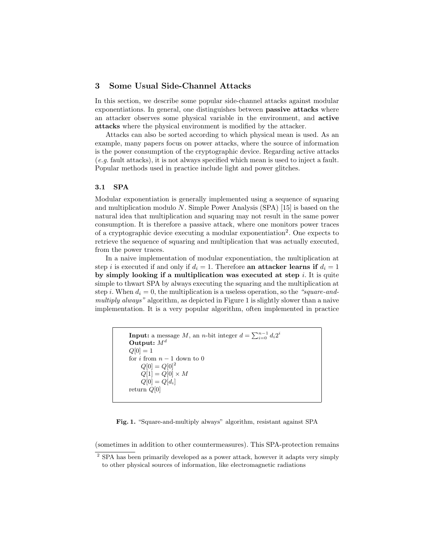# 3 Some Usual Side-Channel Attacks

In this section, we describe some popular side-channel attacks against modular exponentiations. In general, one distinguishes between passive attacks where an attacker observes some physical variable in the environment, and active attacks where the physical environment is modified by the attacker.

Attacks can also be sorted according to which physical mean is used. As an example, many papers focus on power attacks, where the source of information is the power consumption of the cryptographic device. Regarding active attacks (e.g. fault attacks), it is not always specified which mean is used to inject a fault. Popular methods used in practice include light and power glitches.

#### 3.1 SPA

Modular exponentiation is generally implemented using a sequence of squaring and multiplication modulo N. Simple Power Analysis (SPA) [15] is based on the natural idea that multiplication and squaring may not result in the same power consumption. It is therefore a passive attack, where one monitors power traces of a cryptographic device executing a modular exponentiation<sup>2</sup>. One expects to retrieve the sequence of squaring and multiplication that was actually executed, from the power traces.

In a naive implementation of modular exponentiation, the multiplication at step i is executed if and only if  $d_i = 1$ . Therefore an attacker learns if  $d_i = 1$ by simply looking if a multiplication was executed at step  $i$ . It is quite simple to thwart SPA by always executing the squaring and the multiplication at step i. When  $d_i = 0$ , the multiplication is a useless operation, so the "square-andmultiply always" algorithm, as depicted in Figure 1 is slightly slower than a naive implementation. It is a very popular algorithm, often implemented in practice

```
Input: a message M, an n-bit integer d = \sum_{i=0}^{n-1} d_i 2^iOutput: M^dQ[0] = 1for i from n - 1 down to 0
Q[0] = Q[0]^2Q[1] = Q[0] \times MQ[0] = Q[d_i]return Q[0]
```
Fig. 1. "Square-and-multiply always" algorithm, resistant against SPA

(sometimes in addition to other countermeasures). This SPA-protection remains

<sup>2</sup> SPA has been primarily developed as a power attack, however it adapts very simply to other physical sources of information, like electromagnetic radiations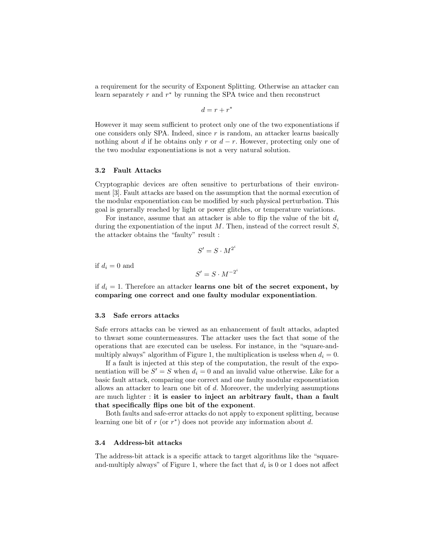a requirement for the security of Exponent Splitting. Otherwise an attacker can learn separately  $r$  and  $r^*$  by running the SPA twice and then reconstruct

$$
d = r + r^*
$$

However it may seem sufficient to protect only one of the two exponentiations if one considers only SPA. Indeed, since  $r$  is random, an attacker learns basically nothing about d if he obtains only r or  $d - r$ . However, protecting only one of the two modular exponentiations is not a very natural solution.

## 3.2 Fault Attacks

Cryptographic devices are often sensitive to perturbations of their environment [3]. Fault attacks are based on the assumption that the normal execution of the modular exponentiation can be modified by such physical perturbation. This goal is generally reached by light or power glitches, or temperature variations.

For instance, assume that an attacker is able to flip the value of the bit  $d_i$ during the exponentiation of the input  $M$ . Then, instead of the correct result  $S$ , the attacker obtains the "faulty" result :

$$
S'=S\cdot M^{2^i}
$$

if  $d_i = 0$  and

$$
S' = S \cdot M^{-2^i}
$$

if  $d_i = 1$ . Therefore an attacker learns one bit of the secret exponent, by comparing one correct and one faulty modular exponentiation.

#### 3.3 Safe errors attacks

Safe errors attacks can be viewed as an enhancement of fault attacks, adapted to thwart some countermeasures. The attacker uses the fact that some of the operations that are executed can be useless. For instance, in the "square-andmultiply always" algorithm of Figure 1, the multiplication is useless when  $d_i = 0$ .

If a fault is injected at this step of the computation, the result of the exponentiation will be  $S' = S$  when  $d_i = 0$  and an invalid value otherwise. Like for a basic fault attack, comparing one correct and one faulty modular exponentiation allows an attacker to learn one bit of  $d$ . Moreover, the underlying assumptions are much lighter : it is easier to inject an arbitrary fault, than a fault that specifically flips one bit of the exponent.

Both faults and safe-error attacks do not apply to exponent splitting, because learning one bit of  $r$  (or  $r^*$ ) does not provide any information about d.

#### 3.4 Address-bit attacks

The address-bit attack is a specific attack to target algorithms like the "squareand-multiply always" of Figure 1, where the fact that  $d_i$  is 0 or 1 does not affect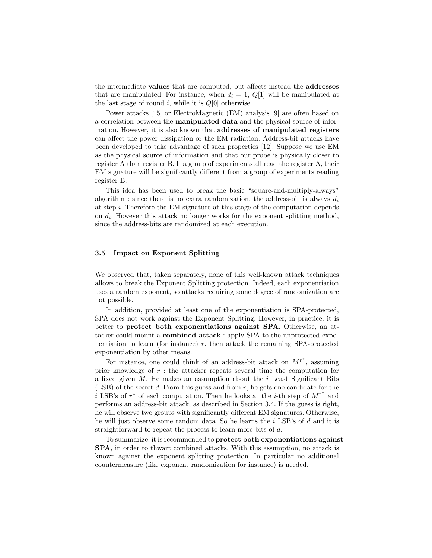the intermediate values that are computed, but affects instead the addresses that are manipulated. For instance, when  $d_i = 1$ ,  $Q[1]$  will be manipulated at the last stage of round i, while it is  $Q[0]$  otherwise.

Power attacks [15] or ElectroMagnetic (EM) analysis [9] are often based on a correlation between the manipulated data and the physical source of information. However, it is also known that addresses of manipulated registers can affect the power dissipation or the EM radiation. Address-bit attacks have been developed to take advantage of such properties [12]. Suppose we use EM as the physical source of information and that our probe is physically closer to register A than register B. If a group of experiments all read the register A, their EM signature will be significantly different from a group of experiments reading register B.

This idea has been used to break the basic "square-and-multiply-always" algorithm : since there is no extra randomization, the address-bit is always  $d_i$ at step i. Therefore the EM signature at this stage of the computation depends on  $d_i$ . However this attack no longer works for the exponent splitting method, since the address-bits are randomized at each execution.

## 3.5 Impact on Exponent Splitting

We observed that, taken separately, none of this well-known attack techniques allows to break the Exponent Splitting protection. Indeed, each exponentiation uses a random exponent, so attacks requiring some degree of randomization are not possible.

In addition, provided at least one of the exponentiation is SPA-protected, SPA does not work against the Exponent Splitting. However, in practice, it is better to protect both exponentiations against SPA. Otherwise, an attacker could mount a combined attack : apply SPA to the unprotected exponentiation to learn (for instance) r, then attack the remaining SPA-protected exponentiation by other means.

For instance, one could think of an address-bit attack on  $M^{r^*}$ , assuming prior knowledge of  $r$ : the attacker repeats several time the computation for a fixed given  $M$ . He makes an assumption about the *i* Least Significant Bits  $(LSB)$  of the secret d. From this guess and from  $r$ , he gets one candidate for the  $\hat{i}$  LSB's of  $r^*$  of each computation. Then he looks at the *i*-th step of  $M^{r^*}$  and performs an address-bit attack, as described in Section 3.4. If the guess is right, he will observe two groups with significantly different EM signatures. Otherwise, he will just observe some random data. So he learns the i LSB's of d and it is straightforward to repeat the process to learn more bits of d.

To summarize, it is recommended to protect both exponentiations against SPA, in order to thwart combined attacks. With this assumption, no attack is known against the exponent splitting protection. In particular no additional countermeasure (like exponent randomization for instance) is needed.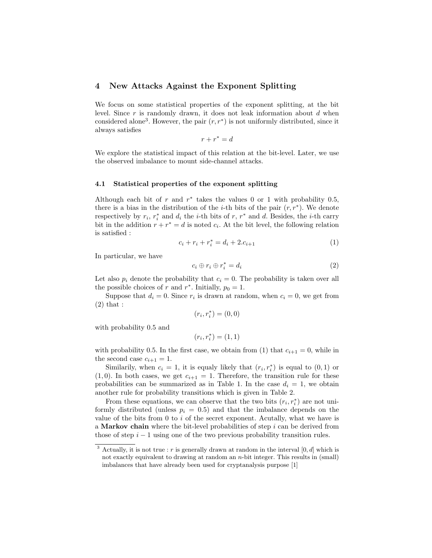# 4 New Attacks Against the Exponent Splitting

We focus on some statistical properties of the exponent splitting, at the bit level. Since  $r$  is randomly drawn, it does not leak information about  $d$  when considered alone<sup>3</sup>. However, the pair  $(r, r^*)$  is not uniformly distributed, since it always satisfies

$$
r + r^* = d
$$

We explore the statistical impact of this relation at the bit-level. Later, we use the observed imbalance to mount side-channel attacks.

#### 4.1 Statistical properties of the exponent splitting

Although each bit of  $r$  and  $r^*$  takes the values 0 or 1 with probability 0.5, there is a bias in the distribution of the *i*-th bits of the pair  $(r, r^*)$ . We denote respectively by  $r_i$ ,  $r_i^*$  and  $d_i$  the *i*-th bits of  $r$ ,  $r^*$  and  $d$ . Besides, the *i*-th carry bit in the addition  $r + r^* = d$  is noted  $c_i$ . At the bit level, the following relation is satisfied :

$$
c_i + r_i + r_i^* = d_i + 2.c_{i+1}
$$
 (1)

In particular, we have

$$
c_i \oplus r_i \oplus r_i^* = d_i \tag{2}
$$

Let also  $p_i$  denote the probability that  $c_i = 0$ . The probability is taken over all the possible choices of r and r<sup>\*</sup>. Initially,  $p_0 = 1$ .

Suppose that  $d_i = 0$ . Since  $r_i$  is drawn at random, when  $c_i = 0$ , we get from (2) that :

$$
(r_i,r_i^\ast)=(0,0)
$$

with probability 0.5 and

 $(r_i, r_i^*) = (1, 1)$ 

with probability 0.5. In the first case, we obtain from (1) that  $c_{i+1} = 0$ , while in the second case  $c_{i+1} = 1$ .

Similarily, when  $c_i = 1$ , it is equaly likely that  $(r_i, r_i^*)$  is equal to  $(0, 1)$  or  $(1, 0)$ . In both cases, we get  $c_{i+1} = 1$ . Therefore, the transition rule for these probabilities can be summarized as in Table 1. In the case  $d_i = 1$ , we obtain another rule for probability transitions which is given in Table 2.

From these equations, we can observe that the two bits  $(r_i, r_i^*)$  are not uniformly distributed (unless  $p_i = 0.5$ ) and that the imbalance depends on the value of the bits from  $0$  to  $i$  of the secret exponent. Acutally, what we have is a **Markov chain** where the bit-level probabilities of step  $i$  can be derived from those of step  $i - 1$  using one of the two previous probability transition rules.

<sup>&</sup>lt;sup>3</sup> Actually, it is not true : r is generally drawn at random in the interval  $[0, d]$  which is not exactly equivalent to drawing at random an  $n$ -bit integer. This results in (small) imbalances that have already been used for cryptanalysis purpose [1]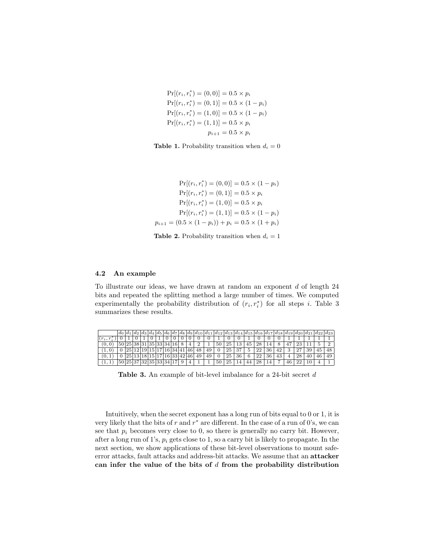$Pr[(r_i, r_i^*) = (0, 0)] = 0.5 \times p_i$  $Pr[(r_i, r_i^*) = (0, 1)] = 0.5 \times (1 - p_i)$  $Pr[(r_i, r_i^*) = (1, 0)] = 0.5 \times (1 - p_i)$  $Pr[(r_i, r_i^*) = (1, 1)] = 0.5 \times p_i$  $p_{i+1} = 0.5 \times p_i$ 

$$
\Pr[(r_i, r_i^*) = (0, 0)] = 0.5 \times (1 - p_i)
$$
  
\n
$$
\Pr[(r_i, r_i^*) = (0, 1)] = 0.5 \times p_i
$$
  
\n
$$
\Pr[(r_i, r_i^*) = (1, 0)] = 0.5 \times p_i
$$
  
\n
$$
\Pr[(r_i, r_i^*) = (1, 1)] = 0.5 \times (1 - p_i)
$$
  
\n
$$
p_{i+1} = (0.5 \times (1 - p_i)) + p_i = 0.5 \times (1 + p_i)
$$

**Table 2.** Probability transition when  $d_i = 1$ 

## 4.2 An example

To illustrate our ideas, we have drawn at random an exponent  $d$  of length  $24$ bits and repeated the splitting method a large number of times. We computed experimentally the probability distribution of  $(r_i, r_i^*)$  for all steps *i*. Table 3 summarizes these results.

| $(r_i, r)$ |  |  |                           |  |  |                            |    |    |    |    |     |    |    |    |    |    |    |    |    |    |
|------------|--|--|---------------------------|--|--|----------------------------|----|----|----|----|-----|----|----|----|----|----|----|----|----|----|
| (0, 0)     |  |  | 50 25 38 31 35 33 34 16   |  |  |                            |    |    | 50 | 25 | 13  | 45 | 28 | 14 |    | 47 | 23 |    |    |    |
|            |  |  |                           |  |  | 25 12 19 15 17 16 34 41 46 | 48 | 49 |    | 25 | -37 | 5  | 22 | 36 | 42 |    | 27 | 39 | 45 | 48 |
| (0, 0)     |  |  |                           |  |  | 25 13 18 15 17 16 33 42 46 | 49 | 49 |    | 25 | 36  | 6  | 22 | 36 | 43 |    | 28 |    | 46 | 49 |
|            |  |  | 50 25 37 32 35 33 34 17 9 |  |  |                            |    |    | 50 | 25 | 14  | 44 | 28 | 14 |    | 46 | 22 |    |    |    |

Table 3. An example of bit-level imbalance for a 24-bit secret d

Intuitively, when the secret exponent has a long run of bits equal to 0 or 1, it is very likely that the bits of  $r$  and  $r^*$  are different. In the case of a run of 0's, we can see that  $p_i$  becomes very close to 0, so there is generally no carry bit. However, after a long run of 1's,  $p_i$  gets close to 1, so a carry bit is likely to propagate. In the next section, we show applications of these bit-level observations to mount safeerror attacks, fault attacks and address-bit attacks. We assume that an attacker can infer the value of the bits of  $d$  from the probability distribution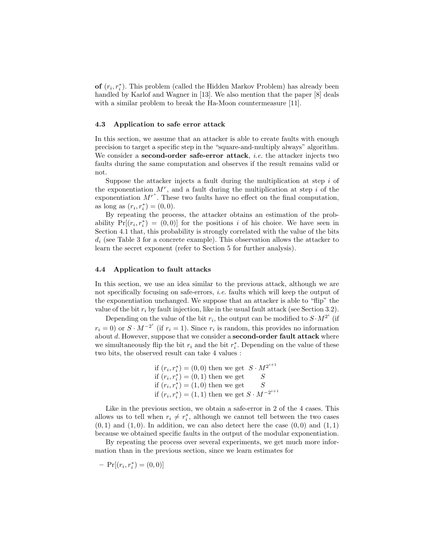of  $(r_i, r_i^*)$ . This problem (called the Hidden Markov Problem) has already been handled by Karlof and Wagner in [13]. We also mention that the paper [8] deals with a similar problem to break the Ha-Moon countermeasure [11].

### 4.3 Application to safe error attack

In this section, we assume that an attacker is able to create faults with enough precision to target a specific step in the "square-and-multiply always" algorithm. We consider a **second-order safe-error attack**, *i.e.* the attacker injects two faults during the same computation and observes if the result remains valid or not.

Suppose the attacker injects a fault during the multiplication at step  $i$  of the exponentiation  $M^r$ , and a fault during the multiplication at step i of the exponentiation  $M^{r^*}$ . These two faults have no effect on the final computation, as long as  $(r_i, r_i^*) = (0, 0)$ .

By repeating the process, the attacker obtains an estimation of the probability  $Pr[(r_i, r_i^*) = (0, 0)]$  for the positions i of his choice. We have seen in Section 4.1 that, this probability is strongly correlated with the value of the bits  $d_i$  (see Table 3 for a concrete example). This observation allows the attacker to learn the secret exponent (refer to Section 5 for further analysis).

#### 4.4 Application to fault attacks

In this section, we use an idea similar to the previous attack, although we are not specifically focusing on safe-errors, i.e. faults which will keep the output of the exponentiation unchanged. We suppose that an attacker is able to "flip" the value of the bit  $r_i$  by fault injection, like in the usual fault attack (see Section 3.2).

Depending on the value of the bit  $r_i$ , the output can be modified to  $S \cdot M^{2^i}$  (if  $r_i = 0$ ) or  $S \cdot M^{-2^i}$  (if  $r_i = 1$ ). Since  $r_i$  is random, this provides no information about  $d$ . However, suppose that we consider a **second-order fault attack** where we simultaneously flip the bit  $r_i$  and the bit  $r_i^*$ . Depending on the value of these two bits, the observed result can take 4 values :

if 
$$
(r_i, r_i^*) = (0, 0)
$$
 then we get  $S \cdot M^{2^{i+1}}$   
if  $(r_i, r_i^*) = (0, 1)$  then we get  
if  $(r_i, r_i^*) = (1, 0)$  then we get  $S$   
if  $(r_i, r_i^*) = (1, 1)$  then we get  $S \cdot M^{-2^{i+1}}$ 

Like in the previous section, we obtain a safe-error in 2 of the 4 cases. This allows us to tell when  $r_i \neq r_i^*$ , although we cannot tell between the two cases  $(0, 1)$  and  $(1, 0)$ . In addition, we can also detect here the case  $(0, 0)$  and  $(1, 1)$ because we obtained specific faults in the output of the modular exponentiation.

By repeating the process over several experiments, we get much more information than in the previous section, since we learn estimates for

$$
- \, \Pr[(r_i,r_i^*)=(0,0)]
$$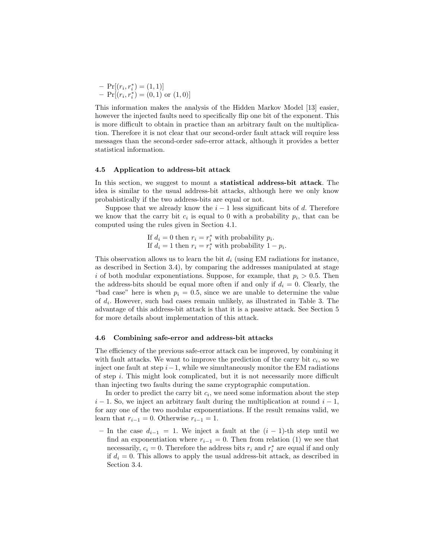- 
$$
\Pr[(r_i, r_i^*) = (1, 1)]
$$
  
-  $\Pr[(r_i, r_i^*) = (0, 1)$  or  $(1, 0)]$ 

This information makes the analysis of the Hidden Markov Model [13] easier, however the injected faults need to specifically flip one bit of the exponent. This is more difficult to obtain in practice than an arbitrary fault on the multiplication. Therefore it is not clear that our second-order fault attack will require less messages than the second-order safe-error attack, although it provides a better statistical information.

#### 4.5 Application to address-bit attack

In this section, we suggest to mount a statistical address-bit attack. The idea is similar to the usual address-bit attacks, although here we only know probabistically if the two address-bits are equal or not.

Suppose that we already know the  $i - 1$  less significant bits of d. Therefore we know that the carry bit  $c_i$  is equal to 0 with a probability  $p_i$ , that can be computed using the rules given in Section 4.1.

If 
$$
d_i = 0
$$
 then  $r_i = r_i^*$  with probability  $p_i$ .  
If  $d_i = 1$  then  $r_i = r_i^*$  with probability  $1 - p_i$ .

This observation allows us to learn the bit  $d_i$  (using EM radiations for instance, as described in Section 3.4), by comparing the addresses manipulated at stage i of both modular exponentiations. Suppose, for example, that  $p_i > 0.5$ . Then the address-bits should be equal more often if and only if  $d_i = 0$ . Clearly, the "bad case" here is when  $p_i = 0.5$ , since we are unable to determine the value of  $d_i$ . However, such bad cases remain unlikely, as illustrated in Table 3. The advantage of this address-bit attack is that it is a passive attack. See Section 5 for more details about implementation of this attack.

#### 4.6 Combining safe-error and address-bit attacks

The efficiency of the previous safe-error attack can be improved, by combining it with fault attacks. We want to improve the prediction of the carry bit  $c_i$ , so we inject one fault at step  $i-1$ , while we simultaneously monitor the EM radiations of step i. This might look complicated, but it is not necessarily more difficult than injecting two faults during the same cryptographic computation.

In order to predict the carry bit  $c_i$ , we need some information about the step  $i-1$ . So, we inject an arbitrary fault during the multiplication at round  $i-1$ , for any one of the two modular exponentiations. If the result remains valid, we learn that  $r_{i-1} = 0$ . Otherwise  $r_{i-1} = 1$ .

– In the case  $d_{i-1} = 1$ . We inject a fault at the  $(i - 1)$ -th step until we find an exponentiation where  $r_{i-1} = 0$ . Then from relation (1) we see that necessarily,  $c_i = 0$ . Therefore the address bits  $r_i$  and  $r_i^*$  are equal if and only if  $d_i = 0$ . This allows to apply the usual address-bit attack, as described in Section 3.4.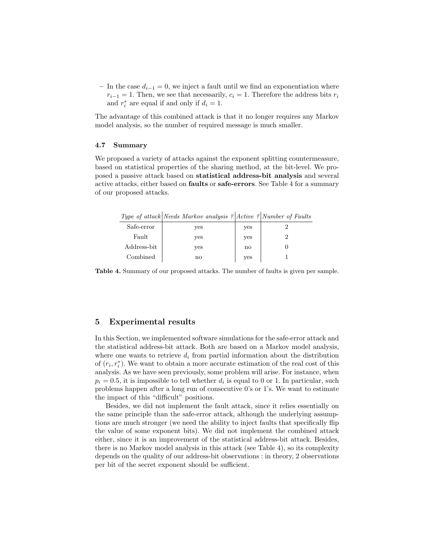– In the case  $d_{i-1} = 0$ , we inject a fault until we find an exponentiation where  $r_{i-1} = 1$ . Then, we see that necessarily,  $c_i = 1$ . Therefore the address bits  $r_i$ and  $r_i^*$  are equal if and only if  $d_i = 1$ .

The advantage of this combined attack is that it no longer requires any Markov model analysis, so the number of required message is much smaller.

## 4.7 Summary

We proposed a variety of attacks against the exponent splitting countermeasure, based on statistical properties of the sharing method, at the bit-level. We proposed a passive attack based on statistical address-bit analysis and several active attacks, either based on faults or safe-errors. See Table 4 for a summary of our proposed attacks.

Type of attack Needs Markov analysis ? Active ? Number of Faults

| <u>vi</u><br>$\cdot$ | .,                     |     | $\cdot$ |
|----------------------|------------------------|-----|---------|
| Safe-error           | yes                    | yes |         |
| Fault                | yes                    | yes |         |
| Address-bit          | yes                    | no  |         |
| Combined             | $\mathbf{n}\mathbf{o}$ | yes |         |

Table 4. Summary of our proposed attacks. The number of faults is given per sample.

# 5 Experimental results

In this Section, we implemented software simulations for the safe-error attack and the statistical address-bit attack. Both are based on a Markov model analysis, where one wants to retrieve  $d_i$  from partial information about the distribution of  $(r_i, r_i^*)$ . We want to obtain a more accurate estimation of the real cost of this analysis. As we have seen previously, some problem will arise. For instance, when  $p_i = 0.5$ , it is impossible to tell whether  $d_i$  is equal to 0 or 1. In particular, such problems happen after a long run of consecutive 0's or 1's. We want to estimate the impact of this "difficult" positions.

Besides, we did not implement the fault attack, since it relies essentially on the same principle than the safe-error attack, although the underlying assumptions are much stronger (we need the ability to inject faults that specifically flip the value of some exponent bits). We did not implement the combined attack either, since it is an improvement of the statistical address-bit attack. Besides, there is no Markov model analysis in this attack (see Table 4), so its complexity depends on the quality of our address-bit observations : in theory, 2 observations per bit of the secret exponent should be sufficient.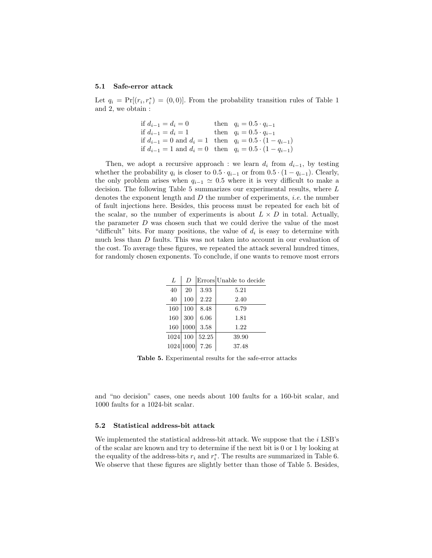#### 5.1 Safe-error attack

Let  $q_i = Pr[(r_i, r_i^*) = (0, 0)]$ . From the probability transition rules of Table 1 and 2, we obtain :

if 
$$
d_{i-1} = d_i = 0
$$
 then  $q_i = 0.5 \cdot q_{i-1}$   
if  $d_{i-1} = d_i = 1$  then  $q_i = 0.5 \cdot q_{i-1}$   
if  $d_{i-1} = 0$  and  $d_i = 1$  then  $q_i = 0.5 \cdot (1 - q_{i-1})$   
if  $d_{i-1} = 1$  and  $d_i = 0$  then  $q_i = 0.5 \cdot (1 - q_{i-1})$ 

Then, we adopt a recursive approach : we learn  $d_i$  from  $d_{i-1}$ , by testing whether the probability  $q_i$  is closer to  $0.5 \cdot q_{i-1}$  or from  $0.5 \cdot (1 - q_{i-1})$ . Clearly, the only problem arises when  $q_{i-1} \approx 0.5$  where it is very difficult to make a decision. The following Table 5 summarizes our experimental results, where L denotes the exponent length and  $D$  the number of experiments, *i.e.* the number of fault injections here. Besides, this process must be repeated for each bit of the scalar, so the number of experiments is about  $L \times D$  in total. Actually, the parameter D was chosen such that we could derive the value of the most "difficult" bits. For many positions, the value of  $d_i$  is easy to determine with much less than D faults. This was not taken into account in our evaluation of the cost. To average these figures, we repeated the attack several hundred times, for randomly chosen exponents. To conclude, if one wants to remove most errors

 $L \mid D$  Errors Unable to decide  $40 \mid 20 \mid 3.93 \mid 5.21$  $40 | 100 | 2.22 | 2.40$ 160 | 100 | 8.48 | 6.79 160 300 6.06 1.81 160 | 1000 | 3.58 | 1.22 1024 100 52.25 39.90 1024 1000 7.26 37.48

Table 5. Experimental results for the safe-error attacks

and "no decision" cases, one needs about 100 faults for a 160-bit scalar, and 1000 faults for a 1024-bit scalar.

#### 5.2 Statistical address-bit attack

We implemented the statistical address-bit attack. We suppose that the *i* LSB's of the scalar are known and try to determine if the next bit is 0 or 1 by looking at the equality of the address-bits  $r_i$  and  $r_i^*$ . The results are summarized in Table 6. We observe that these figures are slightly better than those of Table 5. Besides,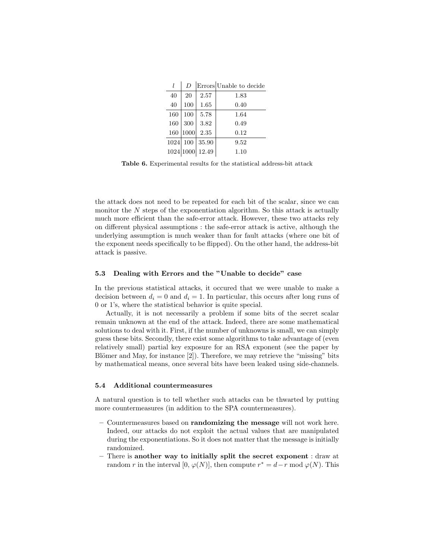|      | D         |       | Errors Unable to decide |
|------|-----------|-------|-------------------------|
| 40   | 20        | 2.57  | 1.83                    |
| 40   | 100       | 1.65  | 0.40                    |
| 160  | 100       | 5.78  | 1.64                    |
| 160  | 300       | 3.82  | 0.49                    |
| 160  | 1000      | 2.35  | 0.12                    |
| 1024 | 100       | 35.90 | 9.52                    |
|      | 1024 1000 | 12.49 | 1.10                    |

Table 6. Experimental results for the statistical address-bit attack

the attack does not need to be repeated for each bit of the scalar, since we can monitor the  $N$  steps of the exponentiation algorithm. So this attack is actually much more efficient than the safe-error attack. However, these two attacks rely on different physical assumptions : the safe-error attack is active, although the underlying assumption is much weaker than for fault attacks (where one bit of the exponent needs specifically to be flipped). On the other hand, the address-bit attack is passive.

#### 5.3 Dealing with Errors and the "Unable to decide" case

In the previous statistical attacks, it occured that we were unable to make a decision between  $d_i = 0$  and  $d_i = 1$ . In particular, this occurs after long runs of 0 or 1's, where the statistical behavior is quite special.

Actually, it is not necessarily a problem if some bits of the secret scalar remain unknown at the end of the attack. Indeed, there are some mathematical solutions to deal with it. First, if the number of unknowns is small, we can simply guess these bits. Secondly, there exist some algorithms to take advantage of (even relatively small) partial key exposure for an RSA exponent (see the paper by Blömer and May, for instance  $[2]$ ). Therefore, we may retrieve the "missing" bits by mathematical means, once several bits have been leaked using side-channels.

## 5.4 Additional countermeasures

A natural question is to tell whether such attacks can be thwarted by putting more countermeasures (in addition to the SPA countermeasures).

- Countermeasures based on randomizing the message will not work here. Indeed, our attacks do not exploit the actual values that are manipulated during the exponentiations. So it does not matter that the message is initially randomized.
- There is another way to initially split the secret exponent : draw at random r in the interval  $[0, \varphi(N)]$ , then compute  $r^* = d-r$  mod  $\varphi(N)$ . This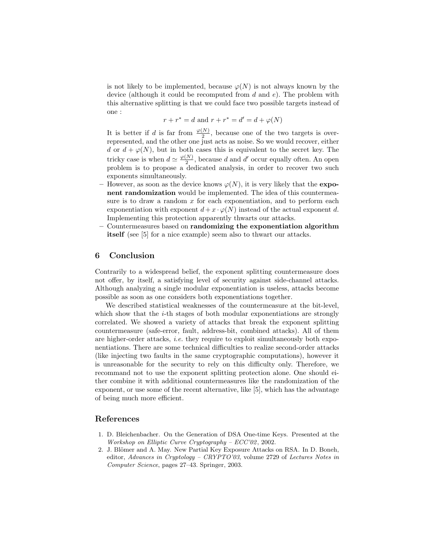is not likely to be implemented, because  $\varphi(N)$  is not always known by the device (although it could be recomputed from  $d$  and  $e$ ). The problem with this alternative splitting is that we could face two possible targets instead of one :

$$
r + r^* = d
$$
 and  $r + r^* = d' = d + \varphi(N)$ 

It is better if d is far from  $\frac{\varphi(N)}{2}$ , because one of the two targets is overrepresented, and the other one just acts as noise. So we would recover, either d or  $d + \varphi(N)$ , but in both cases this is equivalent to the secret key. The tricky case is when  $d \simeq \frac{\varphi(N)}{2}$  $\frac{N}{2}$ , because d and d' occur equally often. An open problem is to propose a dedicated analysis, in order to recover two such exponents simultaneously.

- However, as soon as the device knows  $\varphi(N)$ , it is very likely that the **expo**nent randomization would be implemented. The idea of this countermeasure is to draw a random  $x$  for each exponentiation, and to perform each exponentiation with exponent  $d + x \cdot \varphi(N)$  instead of the actual exponent d. Implementing this protection apparently thwarts our attacks.
- Countermeasures based on randomizing the exponentiation algorithm itself (see [5] for a nice example) seem also to thwart our attacks.

# 6 Conclusion

Contrarily to a widespread belief, the exponent splitting countermeasure does not offer, by itself, a satisfying level of security against side-channel attacks. Although analyzing a single modular exponentiation is useless, attacks become possible as soon as one considers both exponentiations together.

We described statistical weaknesses of the countermeasure at the bit-level, which show that the  $i$ -th stages of both modular exponentiations are strongly correlated. We showed a variety of attacks that break the exponent splitting countermeasure (safe-error, fault, address-bit, combined attacks). All of them are higher-order attacks, i.e. they require to exploit simultaneously both exponentiations. There are some technical difficulties to realize second-order attacks (like injecting two faults in the same cryptographic computations), however it is unreasonable for the security to rely on this difficulty only. Therefore, we recommand not to use the exponent splitting protection alone. One should either combine it with additional countermeasures like the randomization of the exponent, or use some of the recent alternative, like [5], which has the advantage of being much more efficient.

## References

- 1. D. Bleichenbacher. On the Generation of DSA One-time Keys. Presented at the Workshop on Elliptic Curve Cryptography - ECC'02, 2002.
- 2. J. Blömer and A. May. New Partial Key Exposure Attacks on RSA. In D. Boneh, editor, Advances in Cryptology – CRYPTO'03, volume 2729 of Lectures Notes in Computer Science, pages 27–43. Springer, 2003.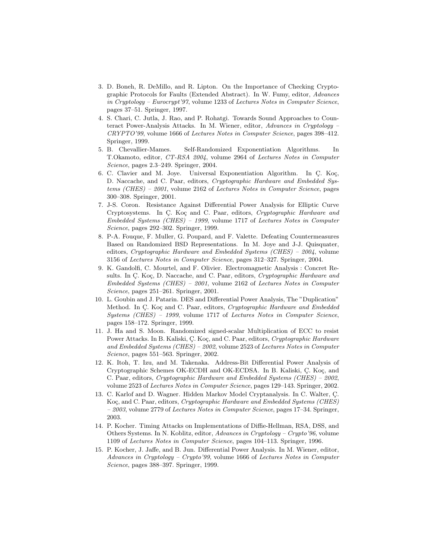- 3. D. Boneh, R. DeMillo, and R. Lipton. On the Importance of Checking Cryptographic Protocols for Faults (Extended Abstract). In W. Fumy, editor, Advances in Cryptology – Eurocrypt'97, volume 1233 of Lectures Notes in Computer Science, pages 37–51. Springer, 1997.
- 4. S. Chari, C. Jutla, J. Rao, and P. Rohatgi. Towards Sound Approaches to Counteract Power-Analysis Attacks. In M. Wiener, editor, Advances in Cryptology – CRYPTO'99, volume 1666 of Lectures Notes in Computer Science, pages 398–412. Springer, 1999.
- 5. B. Chevallier-Mames. Self-Randomized Exponentiation Algorithms. In T.Okamoto, editor, CT-RSA 2004, volume 2964 of Lectures Notes in Computer Science, pages 2.3–249. Springer, 2004.
- 6. C. Clavier and M. Joye. Universal Exponentiation Algorithm. In C. Koç, D. Naccache, and C. Paar, editors, Cryptographic Hardware and Embedded Systems (CHES) – 2001, volume 2162 of Lectures Notes in Computer Science, pages 300–308. Springer, 2001.
- 7. J-S. Coron. Resistance Against Differential Power Analysis for Elliptic Curve Cryptosystems. In Ç. Koç and C. Paar, editors, Cryptographic Hardware and Embedded Systems (CHES) – 1999, volume 1717 of Lectures Notes in Computer Science, pages 292–302. Springer, 1999.
- 8. P-A. Fouque, F. Muller, G. Poupard, and F. Valette. Defeating Countermeasures Based on Randomized BSD Representations. In M. Joye and J-J. Quisquater, editors, Cryptographic Hardware and Embedded Systems (CHES) – 2004, volume 3156 of Lectures Notes in Computer Science, pages 312–327. Springer, 2004.
- 9. K. Gandolfi, C. Mourtel, and F. Olivier. Electromagnetic Analysis : Concret Results. In C. Koç, D. Naccache, and C. Paar, editors, Cryptographic Hardware and Embedded Systems (CHES) – 2001, volume 2162 of Lectures Notes in Computer Science, pages 251–261. Springer, 2001.
- 10. L. Goubin and J. Patarin. DES and Differential Power Analysis, The "Duplication" Method. In C. Koç and C. Paar, editors, Cryptographic Hardware and Embedded Systems (CHES) – 1999, volume 1717 of Lectures Notes in Computer Science, pages 158–172. Springer, 1999.
- 11. J. Ha and S. Moon. Randomized signed-scalar Multiplication of ECC to resist Power Attacks. In B. Kaliski, C. Koç, and C. Paar, editors, Cryptographic Hardware and Embedded Systems (CHES) – 2002, volume 2523 of Lectures Notes in Computer Science, pages 551–563. Springer, 2002.
- 12. K. Itoh, T. Izu, and M. Takenaka. Address-Bit Differential Power Analysis of Cryptographic Schemes OK-ECDH and OK-ECDSA. In B. Kaliski, C. Koc. and C. Paar, editors, Cryptographic Hardware and Embedded Systems (CHES) – 2002, volume 2523 of Lectures Notes in Computer Science, pages 129–143. Springer, 2002.
- 13. C. Karlof and D. Wagner. Hidden Markov Model Cryptanalysis. In C. Walter, C. Koc, and C. Paar, editors, Cryptographic Hardware and Embedded Systems (CHES) – 2003, volume 2779 of Lectures Notes in Computer Science, pages 17–34. Springer, 2003.
- 14. P. Kocher. Timing Attacks on Implementations of Diffie-Hellman, RSA, DSS, and Others Systems. In N. Koblitz, editor, Advances in Cryptology – Crypto'96, volume 1109 of Lectures Notes in Computer Science, pages 104–113. Springer, 1996.
- 15. P. Kocher, J. Jaffe, and B. Jun. Differential Power Analysis. In M. Wiener, editor, Advances in Cryptology – Crypto'99, volume 1666 of Lectures Notes in Computer Science, pages 388–397. Springer, 1999.